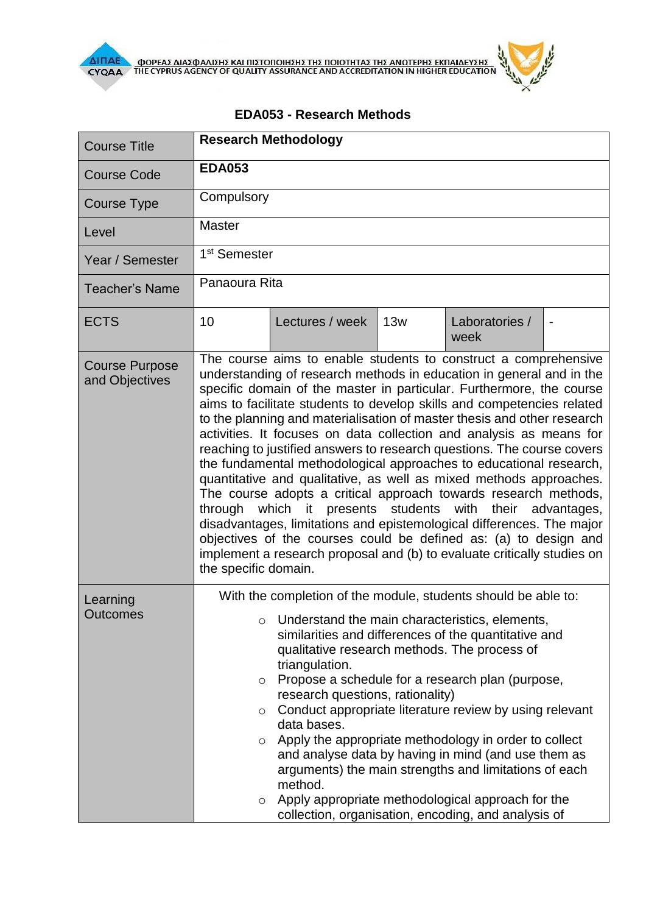

## **EDA053 - Research Methods**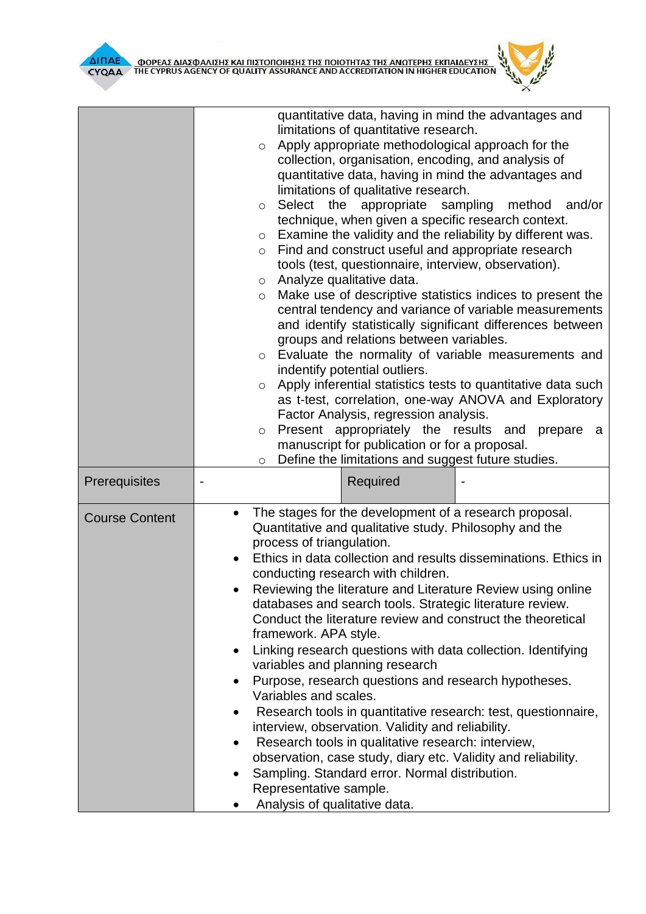

|                       | quantitative data, having in mind the advantages and<br>limitations of quantitative research.<br>Apply appropriate methodological approach for the<br>$\circ$<br>collection, organisation, encoding, and analysis of<br>quantitative data, having in mind the advantages and<br>limitations of qualitative research.<br>method<br>Select the appropriate sampling<br>and/or<br>$\circ$<br>technique, when given a specific research context.<br>Examine the validity and the reliability by different was.<br>$\circ$<br>Find and construct useful and appropriate research<br>$\circ$<br>tools (test, questionnaire, interview, observation).<br>Analyze qualitative data.<br>$\circ$<br>Make use of descriptive statistics indices to present the<br>$\circ$<br>central tendency and variance of variable measurements<br>and identify statistically significant differences between<br>groups and relations between variables.<br>Evaluate the normality of variable measurements and<br>$\circ$<br>indentify potential outliers.<br>Apply inferential statistics tests to quantitative data such<br>$\circ$<br>as t-test, correlation, one-way ANOVA and Exploratory<br>Factor Analysis, regression analysis.<br>Present appropriately the results and<br>prepare<br>$\circ$<br>a<br>manuscript for publication or for a proposal.<br>Define the limitations and suggest future studies.<br>$\circ$ |
|-----------------------|---------------------------------------------------------------------------------------------------------------------------------------------------------------------------------------------------------------------------------------------------------------------------------------------------------------------------------------------------------------------------------------------------------------------------------------------------------------------------------------------------------------------------------------------------------------------------------------------------------------------------------------------------------------------------------------------------------------------------------------------------------------------------------------------------------------------------------------------------------------------------------------------------------------------------------------------------------------------------------------------------------------------------------------------------------------------------------------------------------------------------------------------------------------------------------------------------------------------------------------------------------------------------------------------------------------------------------------------------------------------------------------------------------|
| Prerequisites         | Required                                                                                                                                                                                                                                                                                                                                                                                                                                                                                                                                                                                                                                                                                                                                                                                                                                                                                                                                                                                                                                                                                                                                                                                                                                                                                                                                                                                                |
| <b>Course Content</b> | The stages for the development of a research proposal.<br>٠<br>Quantitative and qualitative study. Philosophy and the<br>process of triangulation.<br>Ethics in data collection and results disseminations. Ethics in<br>conducting research with children.<br>Reviewing the literature and Literature Review using online<br>databases and search tools. Strategic literature review.<br>Conduct the literature review and construct the theoretical<br>framework. APA style.<br>Linking research questions with data collection. Identifying<br>variables and planning research<br>Purpose, research questions and research hypotheses.<br>Variables and scales.<br>Research tools in quantitative research: test, questionnaire,<br>interview, observation. Validity and reliability.<br>Research tools in qualitative research: interview,<br>٠<br>observation, case study, diary etc. Validity and reliability.<br>Sampling. Standard error. Normal distribution.<br>Representative sample.<br>Analysis of qualitative data.                                                                                                                                                                                                                                                                                                                                                                       |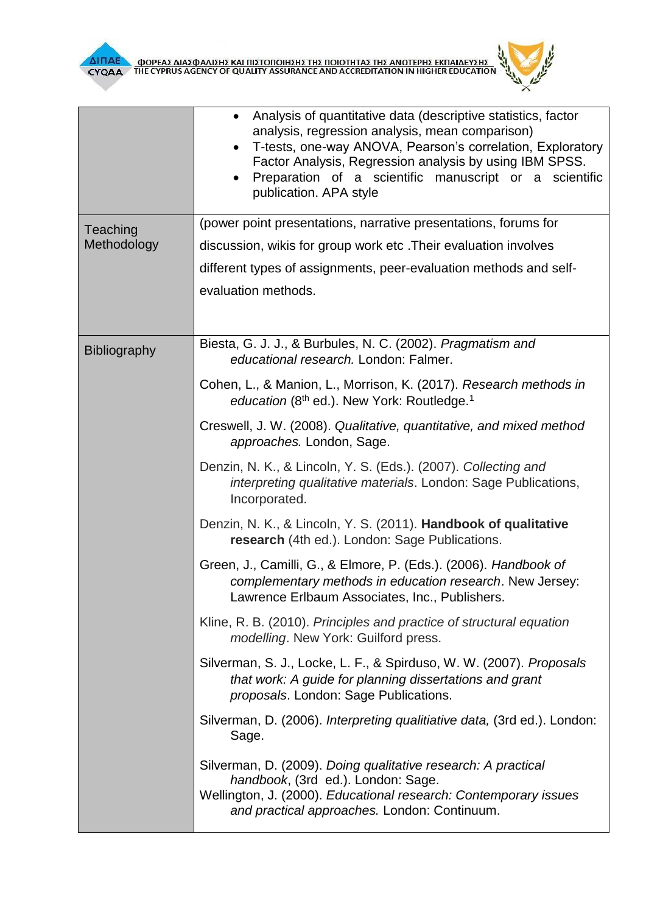



|                         | Analysis of quantitative data (descriptive statistics, factor<br>analysis, regression analysis, mean comparison)<br>T-tests, one-way ANOVA, Pearson's correlation, Exploratory<br>$\bullet$<br>Factor Analysis, Regression analysis by using IBM SPSS.<br>Preparation of a scientific manuscript or a scientific<br>$\bullet$<br>publication. APA style |
|-------------------------|---------------------------------------------------------------------------------------------------------------------------------------------------------------------------------------------------------------------------------------------------------------------------------------------------------------------------------------------------------|
| Teaching<br>Methodology | (power point presentations, narrative presentations, forums for                                                                                                                                                                                                                                                                                         |
|                         | discussion, wikis for group work etc. Their evaluation involves                                                                                                                                                                                                                                                                                         |
|                         | different types of assignments, peer-evaluation methods and self-                                                                                                                                                                                                                                                                                       |
|                         | evaluation methods.                                                                                                                                                                                                                                                                                                                                     |
| <b>Bibliography</b>     | Biesta, G. J. J., & Burbules, N. C. (2002). Pragmatism and<br>educational research. London: Falmer.                                                                                                                                                                                                                                                     |
|                         | Cohen, L., & Manion, L., Morrison, K. (2017). Research methods in<br>education (8 <sup>th</sup> ed.). New York: Routledge. <sup>1</sup>                                                                                                                                                                                                                 |
|                         | Creswell, J. W. (2008). Qualitative, quantitative, and mixed method<br>approaches. London, Sage.                                                                                                                                                                                                                                                        |
|                         | Denzin, N. K., & Lincoln, Y. S. (Eds.). (2007). Collecting and<br>interpreting qualitative materials. London: Sage Publications,<br>Incorporated.                                                                                                                                                                                                       |
|                         | Denzin, N. K., & Lincoln, Y. S. (2011). Handbook of qualitative<br>research (4th ed.). London: Sage Publications.                                                                                                                                                                                                                                       |
|                         | Green, J., Camilli, G., & Elmore, P. (Eds.). (2006). Handbook of<br>complementary methods in education research. New Jersey:<br>Lawrence Erlbaum Associates, Inc., Publishers.                                                                                                                                                                          |
|                         | Kline, R. B. (2010). Principles and practice of structural equation<br>modelling. New York: Guilford press.                                                                                                                                                                                                                                             |
|                         | Silverman, S. J., Locke, L. F., & Spirduso, W. W. (2007). Proposals<br>that work: A guide for planning dissertations and grant<br>proposals. London: Sage Publications.                                                                                                                                                                                 |
|                         | Silverman, D. (2006). Interpreting qualitiative data, (3rd ed.). London:<br>Sage.                                                                                                                                                                                                                                                                       |
|                         | Silverman, D. (2009). Doing qualitative research: A practical<br>handbook, (3rd ed.). London: Sage.<br>Wellington, J. (2000). Educational research: Contemporary issues<br>and practical approaches. London: Continuum.                                                                                                                                 |